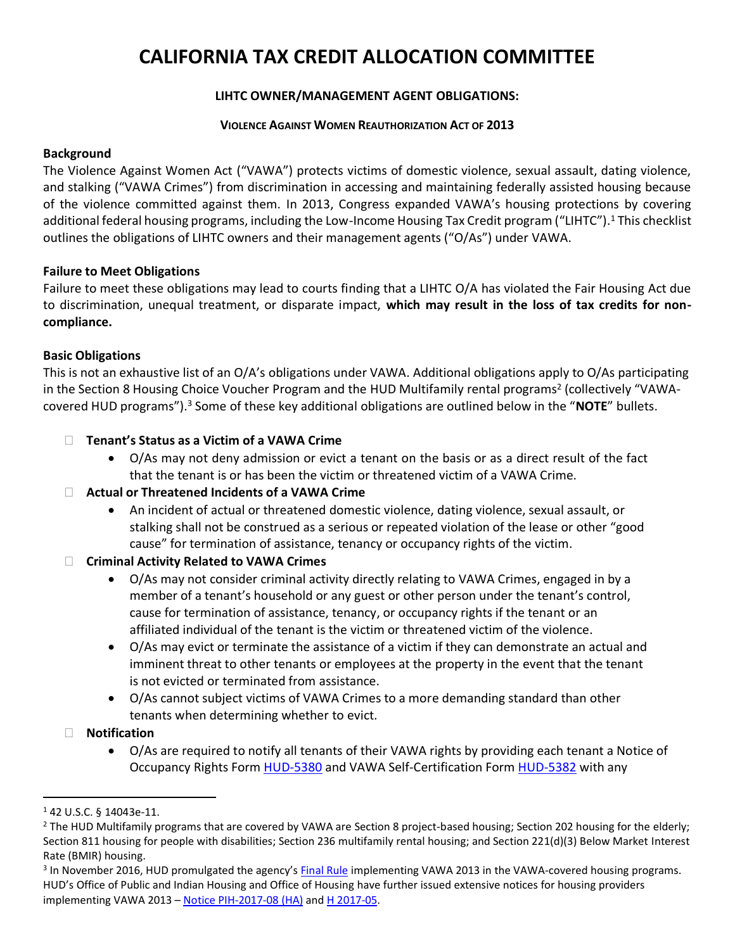# **CALIFORNIA TAX CREDIT ALLOCATION COMMITTEE**

# **LIHTC OWNER/MANAGEMENT AGENT OBLIGATIONS:**

#### **VIOLENCE AGAINST WOMEN REAUTHORIZATION ACT OF 2013**

#### **Background**

The Violence Against Women Act ("VAWA") protects victims of domestic violence, sexual assault, dating violence, and stalking ("VAWA Crimes") from discrimination in accessing and maintaining federally assisted housing because of the violence committed against them. In 2013, Congress expanded VAWA's housing protections by covering additional federal housing programs, including the Low-Income Housing Tax Credit program ("LIHTC"). <sup>1</sup> This checklist outlines the obligations of LIHTC owners and their management agents ("O/As") under VAWA.

#### **Failure to Meet Obligations**

Failure to meet these obligations may lead to courts finding that a LIHTC O/A has violated the Fair Housing Act due to discrimination, unequal treatment, or disparate impact, **which may result in the loss of tax credits for noncompliance.**

# **Basic Obligations**

This is not an exhaustive list of an O/A's obligations under VAWA. Additional obligations apply to O/As participating in the Section 8 Housing Choice Voucher Program and the HUD Multifamily rental programs<sup>2</sup> (collectively "VAWAcovered HUD programs"). <sup>3</sup> Some of these key additional obligations are outlined below in the "**NOTE**" bullets.

# **Tenant's Status as a Victim of a VAWA Crime**

• O/As may not deny admission or evict a tenant on the basis or as a direct result of the fact that the tenant is or has been the victim or threatened victim of a VAWA Crime.

# **Actual or Threatened Incidents of a VAWA Crime**

• An incident of actual or threatened domestic violence, dating violence, sexual assault, or stalking shall not be construed as a serious or repeated violation of the lease or other "good cause" for termination of assistance, tenancy or occupancy rights of the victim.

# **Criminal Activity Related to VAWA Crimes**

- O/As may not consider criminal activity directly relating to VAWA Crimes, engaged in by a member of a tenant's household or any guest or other person under the tenant's control, cause for termination of assistance, tenancy, or occupancy rights if the tenant or an affiliated individual of the tenant is the victim or threatened victim of the violence.
- O/As may evict or terminate the assistance of a victim if they can demonstrate an actual and imminent threat to other tenants or employees at the property in the event that the tenant is not evicted or terminated from assistance.
- O/As cannot subject victims of VAWA Crimes to a more demanding standard than other tenants when determining whether to evict.
- **Notification**
	- O/As are required to notify all tenants of their VAWA rights by providing each tenant a Notice of Occupancy Rights Form [HUD-5380](https://portal.hud.gov/hudportal/documents/huddoc?id=5380.docx) and VAWA Self-Certification Form [HUD-5382](https://portal.hud.gov/hudportal/documents/huddoc?id=5382.docx) with any

 $\overline{a}$ 

<sup>1</sup> 42 U.S.C. § 14043e-11.

<sup>&</sup>lt;sup>2</sup> The HUD Multifamily programs that are covered by VAWA are Section 8 project-based housing; Section 202 housing for the elderly; Section 811 housing for people with disabilities; Section 236 multifamily rental housing; and Section 221(d)(3) Below Market Interest Rate (BMIR) housing.

<sup>&</sup>lt;sup>3</sup> In November 2016, HUD promulgated the agency's [Final Rule](https://www.gpo.gov/fdsys/pkg/FR-2016-11-16/pdf/2016-25888.pdf) implementing VAWA 2013 in the VAWA-covered housing programs. HUD's Office of Public and Indian Housing and Office of Housing have further issued extensive notices for housing providers implementing VAWA 2013 – [Notice PIH-2017-08 \(HA\)](https://portal.hud.gov/hudportal/documents/huddoc?id=PIH-2017-08VAWRA2013.pdf) an[d H 2017-05.](https://portal.hud.gov/hudportal/documents/huddoc?id=17-05hsgn.pdf)